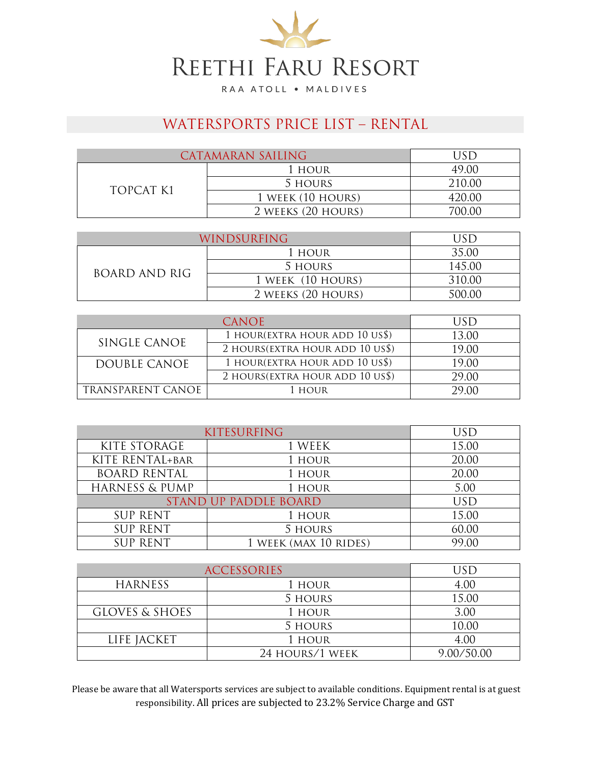

## WATERSPORTS PRICE LIST – RENTAL

|           | CATAMARAN SAILING  |        |
|-----------|--------------------|--------|
|           | 1 HOUR             | 49.00  |
| TOPCAT K1 | 5 HOURS            | 210.00 |
|           | 1 WEEK (10 HOURS)  | 420.00 |
|           | 2 WEEKS (20 HOURS) |        |

|                      | WINDSURFING        |        |
|----------------------|--------------------|--------|
|                      | 1 HOUR             | 35.00  |
| <b>BOARD AND RIG</b> | 5 HOURS            | 145.00 |
|                      | 1 WEEK (10 HOURS)  | 310.00 |
|                      | 2 WEEKS (20 HOURS) | 500.00 |

|                     | <b>CANOE</b>                     | USD   |
|---------------------|----------------------------------|-------|
| SINGLE CANOE        | 1 HOUR(EXTRA HOUR ADD 10 US\$)   | 13.00 |
|                     | 2 HOURS (EXTRA HOUR ADD 10 US\$) | 19.00 |
| <b>DOUBLE CANOE</b> | 1 HOUR(EXTRA HOUR ADD 10 US\$)   | 19.00 |
|                     | 2 HOURS (EXTRA HOUR ADD 10 US\$) | 29.00 |
| TRANSPARENT CANOE   | 1 HOUR                           | 29.00 |

|                           | <b>KITESURFING</b>           | USD        |
|---------------------------|------------------------------|------------|
| KITE STORAGE              | 1 WEEK                       | 15.00      |
| KITE RENTAL+BAR           | 1 HOUR                       | 20.00      |
| <b>BOARD RENTAL</b>       | 1 HOUR                       | 20.00      |
| <b>HARNESS &amp; PUMP</b> | 1 HOUR                       | 5.00       |
|                           | <b>STAND UP PADDLE BOARD</b> | <b>USD</b> |
| <b>SUP RENT</b>           | 1 HOUR                       | 15.00      |
| <b>SUP RENT</b>           | 5 HOURS                      | 60.00      |
| <b>SUP RENT</b>           | 1 WEEK (MAX 10 RIDES)        | 99.00      |

|                           | <b>ACCESSORIES</b> |            |
|---------------------------|--------------------|------------|
| <b>HARNESS</b>            | 1 HOUR             | 4.00       |
|                           | 5 HOURS            | 15.00      |
| <b>GLOVES &amp; SHOES</b> | 1 HOUR             | 3.00       |
|                           | 5 HOURS            | 10.00      |
| LIFE JACKET               | 1 HOUR             | 4.00       |
|                           | 24 HOURS/1 WEEK    | 9.00/50.00 |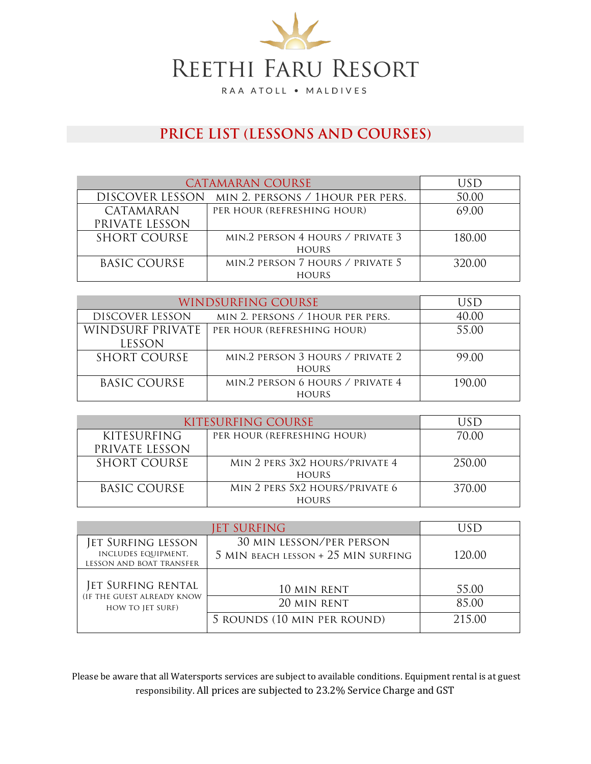

## **PRICE LIST (LESSONS AND COURSES)**

| <b>CATAMARAN COURSE</b> |                                                  | JSD    |
|-------------------------|--------------------------------------------------|--------|
|                         | DISCOVER LESSON MIN 2. PERSONS / 1HOUR PER PERS. | 50.00  |
| CATAMARAN               | PER HOUR (REFRESHING HOUR)                       | 69.00  |
| PRIVATE LESSON          |                                                  |        |
| <b>SHORT COURSE</b>     | MIN.2 PERSON 4 HOURS / PRIVATE 3                 | 180.00 |
|                         | <b>HOURS</b>                                     |        |
| BASIC COURSE            | MIN.2 PERSON 7 HOURS / PRIVATE 5                 | 320.00 |
|                         | <b>HOURS</b>                                     |        |

|                     | WINDSURFING COURSE               | USD    |
|---------------------|----------------------------------|--------|
| DISCOVER LESSON     | MIN 2. PERSONS / 1HOUR PER PERS. | 40.00  |
| WINDSURF PRIVATE    | PER HOUR (REFRESHING HOUR)       | 55.00  |
| LESSON              |                                  |        |
| <b>SHORT COURSE</b> | MIN.2 PERSON 3 HOURS / PRIVATE 2 | 99.00  |
|                     | <b>HOURS</b>                     |        |
| BASIC COURSE        | MIN.2 PERSON 6 HOURS / PRIVATE 4 | 190.00 |
|                     | <b>HOURS</b>                     |        |

|                     | KITESURFING COURSE             | HSD    |
|---------------------|--------------------------------|--------|
| <b>KITESURFING</b>  | PER HOUR (REFRESHING HOUR)     | 70.00  |
| PRIVATE LESSON      |                                |        |
| <b>SHORT COURSE</b> | MIN 2 PERS 3X2 HOURS/PRIVATE 4 | 250.00 |
|                     | <b>HOURS</b>                   |        |
| BASIC COURSE        | MIN 2 PERS 5X2 HOURS/PRIVATE 6 | 370.00 |
|                     | HOURS                          |        |

|                                                                              | <b>ET SURFING</b>                                               | USD            |
|------------------------------------------------------------------------------|-----------------------------------------------------------------|----------------|
| Jet Surfing lesson<br>INCLUDES EQUIPMENT,<br><b>LESSON AND BOAT TRANSFER</b> | 30 MIN LESSON/PER PERSON<br>5 MIN BEACH LESSON + 25 MIN SURFING | 120.00         |
| Jet Surfing rental<br>(IF THE GUEST ALREADY KNOW                             | 10 MIN RENT<br>20 MIN RENT                                      | 55.00<br>85.00 |
| HOW TO JET SURF)                                                             | 5 ROUNDS (10 MIN PER ROUND)                                     | 215.00         |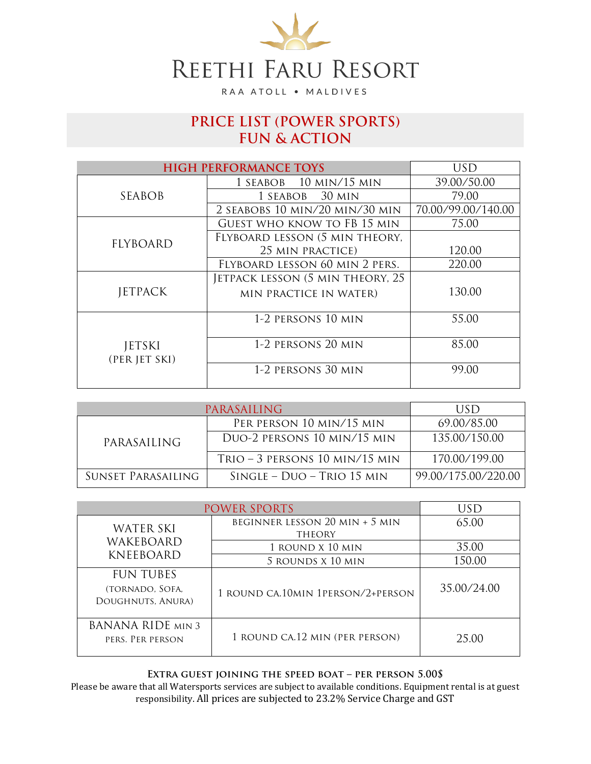

### **PRICE LIST (POWER SPORTS) FUN & ACTION**

|                                | <b>HIGH PERFORMANCE TOYS</b>       | <b>USD</b>         |
|--------------------------------|------------------------------------|--------------------|
|                                | 1 SEABOB 10 MIN/15 MIN             | 39.00/50.00        |
| <b>SEABOB</b>                  | 1 SEABOB 30 MIN                    | 79.00              |
|                                | 2 SEABOBS 10 MIN/20 MIN/30 MIN     | 70.00/99.00/140.00 |
|                                | <b>GUEST WHO KNOW TO FB 15 MIN</b> | 75.00              |
| <b>FLYBOARD</b>                | FLYBOARD LESSON (5 MIN THEORY,     |                    |
|                                | 25 MIN PRACTICE)                   | 120.00             |
|                                | FLYBOARD LESSON 60 MIN 2 PERS.     | 220.00             |
|                                | JETPACK LESSON (5 MIN THEORY, 25   |                    |
| <b>JETPACK</b>                 | MIN PRACTICE IN WATER)             | 130.00             |
|                                |                                    |                    |
|                                | 1-2 PERSONS 10 MIN                 | 55.00              |
| <b>JETSKI</b><br>(PER JET SKI) | 1-2 PERSONS 20 MIN                 | 85.00              |
|                                | 1-2 PERSONS 30 MIN                 | 99.00              |

|                    | PARASAILING                    | USD                 |
|--------------------|--------------------------------|---------------------|
|                    | PER PERSON 10 MIN/15 MIN       | 69.00/85.00         |
| PARASAILING        | DUO-2 PERSONS 10 MIN/15 MIN    | 135.00/150.00       |
|                    | TRIO - 3 PERSONS 10 MIN/15 MIN | 170.00/199.00       |
| SUNSET PARASAILING | $SINGLE - DUO - TRIO 15 MIN$   | 99.00/175.00/220.00 |

|                                                          | POWER SPORTS                                    | USD         |
|----------------------------------------------------------|-------------------------------------------------|-------------|
| <b>WATER SKI</b>                                         | BEGINNER LESSON 20 MIN + 5 MIN<br><b>THEORY</b> | 65.00       |
| WAKEBOARD                                                | 1 ROUND X 10 MIN                                | 35.00       |
| <b>KNEEBOARD</b>                                         | 5 ROUNDS X 10 MIN                               | 150.00      |
| <b>FUN TUBES</b><br>(TORNADO, SOFA.<br>DOUGHNUTS, ANURA) | 1 ROUND CA.10MIN 1PERSON/2+PERSON               | 35.00/24.00 |
| <b>BANANA RIDE MIN 3</b><br>PERS. PER PERSON             | 1 ROUND CA.12 MIN (PER PERSON)                  | 25.00       |

#### **Extra guest joining the speed boat – per person 5.00\$**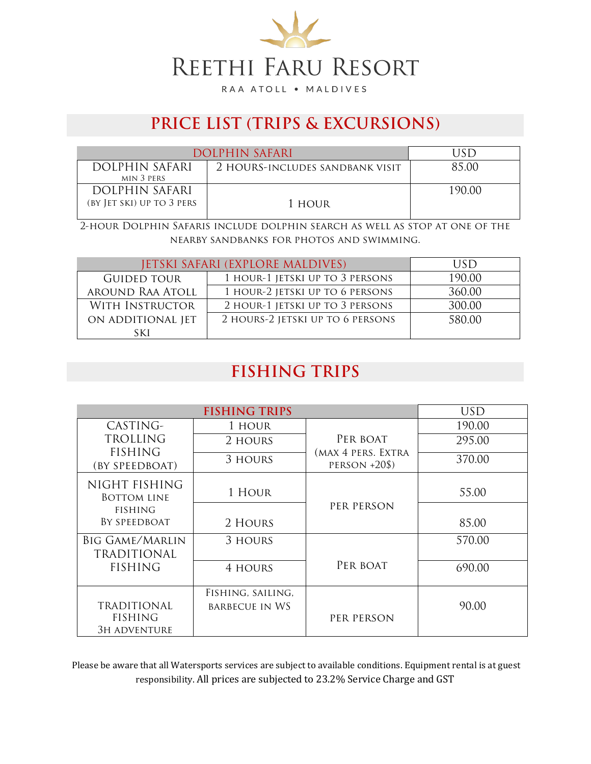

# **PRICE LIST (TRIPS & EXCURSIONS)**

| DOLPHIN SAFARI            | HSD                             |        |
|---------------------------|---------------------------------|--------|
| DOLPHIN SAFARI            | 2 HOURS-INCLUDES SANDBANK VISIT |        |
| min 3 pers                |                                 |        |
| DOLPHIN SAFARI            |                                 | 190.00 |
| (BY JET SKI) UP TO 3 PERS | 1 HOUR                          |        |

2-hour Dolphin Safaris include dolphin search as well as stop at one of the nearby sandbanks for photos and swimming.

| <b>JETSKI SAFARI (EXPLORE MALDIVES)</b> | USD                              |        |
|-----------------------------------------|----------------------------------|--------|
| <b>GUIDED TOUR</b>                      | 1 HOUR-1 JETSKI UP TO 3 PERSONS  | 190.00 |
| around Raa Atoll                        | 1 HOUR-2 JETSKI UP TO 6 PERSONS  | 360.00 |
| WITH INSTRUCTOR                         | 2 HOUR-1 JETSKI UP TO 3 PERSONS  | 300.00 |
| ON ADDITIONAL JET                       | 2 HOURS-2 JETSKI UP TO 6 PERSONS | 580.00 |
| <b>SKI</b>                              |                                  |        |

## **FISHING TRIPS**

| <b>FISHING TRIPS</b>                |                       |                                | <b>USD</b> |
|-------------------------------------|-----------------------|--------------------------------|------------|
| CASTING-                            | 1 HOUR                |                                | 190.00     |
| <b>TROLLING</b><br><b>FISHING</b>   | 2 HOURS               | PER BOAT<br>(MAX 4 PERS. EXTRA | 295.00     |
| (BY SPEEDBOAT)                      | 3 HOURS               | PERSON $+20$ \$)               | 370.00     |
| NIGHT FISHING<br><b>BOTTOM LINE</b> | 1 HOUR                |                                | 55.00      |
| <b>FISHING</b>                      |                       | PER PERSON                     |            |
| BY SPEEDBOAT                        | 2 HOURS               |                                | 85.00      |
| <b>BIG GAME/MARLIN</b>              | 3 HOURS               |                                | 570.00     |
| <b>TRADITIONAL</b>                  |                       |                                |            |
| <b>FISHING</b>                      | 4 HOURS               | PER BOAT                       | 690.00     |
|                                     | FISHING, SAILING,     |                                |            |
| <b>TRADITIONAL</b>                  | <b>BARBECUE IN WS</b> |                                | 90.00      |
| FISHING                             |                       | PER PERSON                     |            |
| <b>3H ADVENTURE</b>                 |                       |                                |            |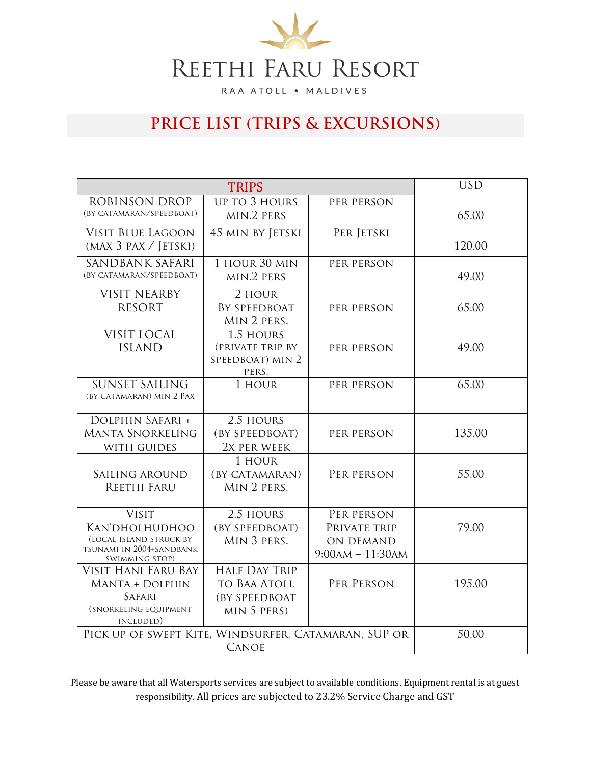

## **PRICE LIST (TRIPS & EXCURSIONS)**

| <b>TRIPS</b>                                         |                                    |                    | <b>USD</b> |
|------------------------------------------------------|------------------------------------|--------------------|------------|
| ROBINSON DROP                                        | <b>UP TO 3 HOURS</b><br>PER PERSON |                    |            |
| (BY CATAMARAN/SPEEDBOAT)                             | MIN.2 PERS                         |                    | 65.00      |
| VISIT BLUE LAGOON                                    | 45 MIN BY JETSKI                   | PER JETSKI         |            |
| (MAX 3 PAX / JETSKI)                                 |                                    |                    | 120.00     |
| SANDBANK SAFARI                                      | 1 HOUR 30 MIN                      | PER PERSON         |            |
| (BY CATAMARAN/SPEEDBOAT)                             | MIN.2 PERS                         |                    | 49.00      |
| <b>VISIT NEARBY</b>                                  | 2 HOUR                             |                    |            |
| <b>RESORT</b>                                        | <b>BY SPEEDBOAT</b>                | PER PERSON         | 65.00      |
|                                                      | MIN 2 PERS.                        |                    |            |
| VISIT LOCAL<br><b>ISLAND</b>                         | 1.5 HOURS<br>(PRIVATE TRIP BY      | PER PERSON         | 49.00      |
|                                                      | SPEEDBOAT) MIN 2                   |                    |            |
|                                                      | PERS.                              |                    |            |
| <b>SUNSET SAILING</b>                                | 1 HOUR                             | PER PERSON         | 65.00      |
| (BY CATAMARAN) MIN 2 PAX                             |                                    |                    |            |
| DOLPHIN SAFARI +                                     | 2.5 HOURS                          |                    |            |
| <b>MANTA SNORKELING</b>                              | (BY SPEEDBOAT)                     | PER PERSON         | 135.00     |
| <b>WITH GUIDES</b>                                   | 2X PER WEEK                        |                    |            |
|                                                      | 1 HOUR                             |                    |            |
| SAILING AROUND                                       | (BY CATAMARAN)                     | PER PERSON         | 55.00      |
| <b>REETHI FARU</b>                                   | MIN 2 PERS.                        |                    |            |
| <b>VISIT</b>                                         | 2.5 HOURS                          | PER PERSON         |            |
| Kan'dholhudhoo                                       | (BY SPEEDBOAT)                     | PRIVATE TRIP       | 79.00      |
| (LOCAL ISLAND STRUCK BY                              | MIN 3 PERS.                        | ON DEMAND          |            |
| TSUNAMI IN 2004+SANDBANK<br>SWIMMING STOP)           |                                    | $9:00AM - 11:30AM$ |            |
| VISIT HANI FARU BAY                                  | <b>HALF DAY TRIP</b>               |                    |            |
| <b>MANTA + DOLPHIN</b>                               | <b>TO BAA ATOLL</b>                | PER PERSON         | 195.00     |
| SAFARI                                               | (BY SPEEDBOAT                      |                    |            |
| (SNORKELING EQUIPMENT                                | MIN 5 PERS)                        |                    |            |
| INCLUDED)                                            |                                    |                    |            |
| PICK UP OF SWEPT KITE, WINDSURFER, CATAMARAN, SUP OR |                                    |                    | 50.00      |
|                                                      | <b>CANOE</b>                       |                    |            |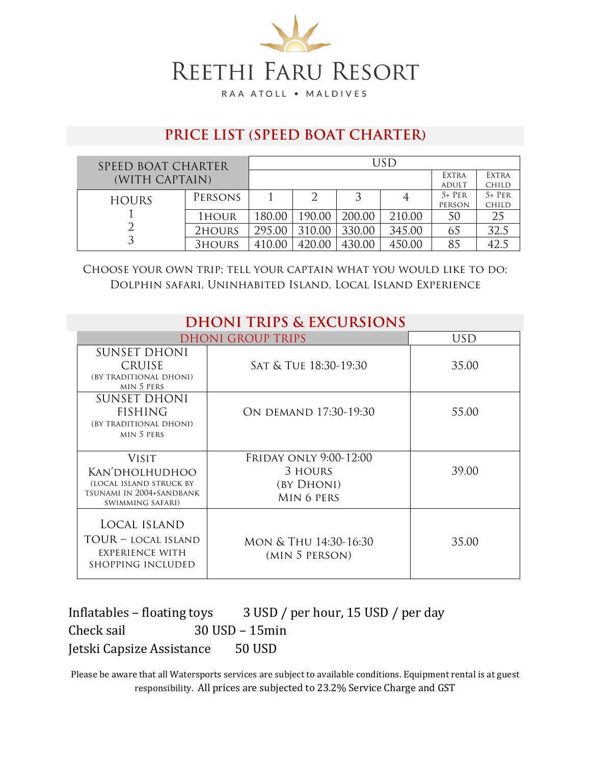

RAA ATOLL . MALDIVES

## **PRICE LIST (SPEED BOAT CHARTER)**

| SPEED BOAT CHARTER |         | USD    |        |        |        |              |              |
|--------------------|---------|--------|--------|--------|--------|--------------|--------------|
| (WITH CAPTAIN)     |         |        |        |        |        | <b>EXTRA</b> | <b>EXTRA</b> |
|                    |         |        |        |        |        | <b>ADULT</b> | CHILD        |
| <b>HOURS</b>       | PERSONS |        |        |        |        | $5+$ PER     | $5+$ PER     |
|                    |         |        |        |        |        | PERSON       | CHILD        |
|                    | 1HOUR   | 180.00 | 190.00 | 200.00 | 210.00 | 50           | 25           |
|                    | 2HOURS  | 295.00 | 310.00 | 330.00 | 345.00 | 65           | 32.5         |
|                    | 3HOURS  | 410.00 |        | 430.00 | 450.00 | 85           | 42.5         |

Choose your own trip; tell your captain what you would like to do; Dolphin safari, Uninhabited Island, Local Island Experience

| <b>DHONI TRIPS &amp; EXCURSIONS</b>                                                                       |                                                                      |       |  |
|-----------------------------------------------------------------------------------------------------------|----------------------------------------------------------------------|-------|--|
| <b>DHONI GROUP TRIPS</b>                                                                                  | USD                                                                  |       |  |
| SUNSET DHONI<br>CRUISE<br>(BY TRADITIONAL DHONI)<br><b>MIN 5 PERS</b>                                     | SAT & TUE 18:30-19:30                                                | 35.00 |  |
| <b>SUNSET DHONI</b><br><b>FISHING</b><br>(BY TRADITIONAL DHONI)<br>MIN 5 PERS                             | ON DEMAND 17:30-19:30                                                | 55.00 |  |
| <b>VISIT</b><br>Kan'dholhudhoo<br>(LOCAL ISLAND STRUCK BY<br>TSUNAMI IN 2004+SANDBANK<br>SWIMMING SAFARI) | <b>FRIDAY ONLY 9:00-12:00</b><br>3 HOURS<br>(BY DHONI)<br>MIN 6 PERS | 39.00 |  |
| LOCAL ISLAND<br>TOUR – local island<br>EXPERIENCE WITH<br>SHOPPING INCLUDED                               | MON & THU 14:30-16:30<br>(MIN 5 PERSON)                              | 35.00 |  |

Inflatables – floating toys 3 USD / per hour, 15 USD / per day Check sail 30 USD – 15 min<br>Jetski Capsize Assistance 50 USD Jetski Capsize Assistance